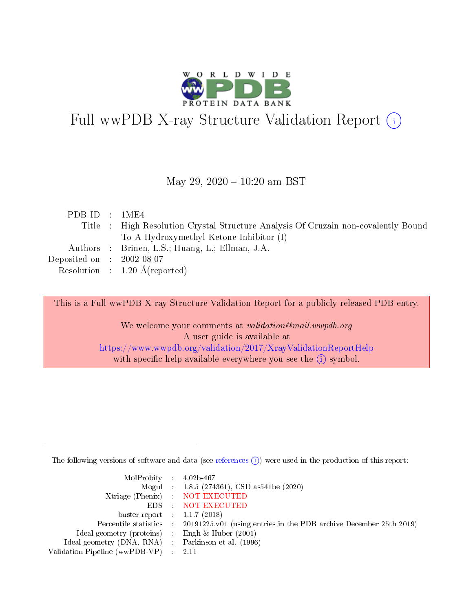

# Full wwPDB X-ray Structure Validation Report (i)

#### May 29,  $2020 - 10:20$  am BST

| PDB ID : 1ME4               |                                                                                    |
|-----------------------------|------------------------------------------------------------------------------------|
|                             | Title : High Resolution Crystal Structure Analysis Of Cruzain non-covalently Bound |
|                             | To A Hydroxymethyl Ketone Inhibitor (I)                                            |
|                             | Authors : Brinen, L.S.; Huang, L.; Ellman, J.A.                                    |
| Deposited on : $2002-08-07$ |                                                                                    |
|                             | Resolution : $1.20 \text{ Å}$ (reported)                                           |

This is a Full wwPDB X-ray Structure Validation Report for a publicly released PDB entry.

We welcome your comments at validation@mail.wwpdb.org A user guide is available at <https://www.wwpdb.org/validation/2017/XrayValidationReportHelp> with specific help available everywhere you see the  $(i)$  symbol.

The following versions of software and data (see [references](https://www.wwpdb.org/validation/2017/XrayValidationReportHelp#references)  $(i)$ ) were used in the production of this report:

| MolProbity : $4.02b-467$                            |                                                                                            |
|-----------------------------------------------------|--------------------------------------------------------------------------------------------|
|                                                     | Mogul : 1.8.5 (274361), CSD as541be (2020)                                                 |
|                                                     | Xtriage (Phenix) NOT EXECUTED                                                              |
|                                                     | EDS : NOT EXECUTED                                                                         |
| buster-report : $1.1.7(2018)$                       |                                                                                            |
|                                                     | Percentile statistics : 20191225.v01 (using entries in the PDB archive December 25th 2019) |
| Ideal geometry (proteins) : Engh $\&$ Huber (2001)  |                                                                                            |
| Ideal geometry (DNA, RNA) : Parkinson et al. (1996) |                                                                                            |
| Validation Pipeline (wwPDB-VP) :                    | - 2.11                                                                                     |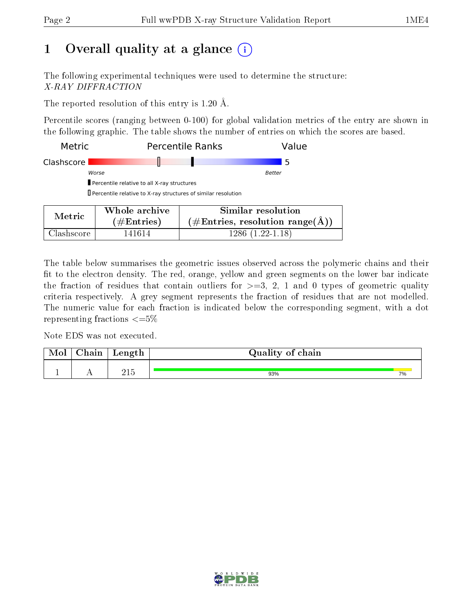## 1 [O](https://www.wwpdb.org/validation/2017/XrayValidationReportHelp#overall_quality)verall quality at a glance  $(i)$

The following experimental techniques were used to determine the structure: X-RAY DIFFRACTION

The reported resolution of this entry is 1.20 Å.

Percentile scores (ranging between 0-100) for global validation metrics of the entry are shown in the following graphic. The table shows the number of entries on which the scores are based.

| Metric     |                                                               | <b>Percentile Ranks</b><br>Value                   |  |  |
|------------|---------------------------------------------------------------|----------------------------------------------------|--|--|
| Clashscore |                                                               | 5                                                  |  |  |
|            | Worse                                                         | Better                                             |  |  |
|            | Percentile relative to all X-ray structures                   |                                                    |  |  |
|            | Percentile relative to X-ray structures of similar resolution |                                                    |  |  |
| Metric     | Whole archive                                                 | Similar resolution                                 |  |  |
|            | #Entries)                                                     | $\hat{A} \neq$ Entries, resolution range $(\AA)$ ) |  |  |

Clashscore 141614 1286 (1.22-1.18)

The table below summarises the geometric issues observed across the polymeric chains and their fit to the electron density. The red, orange, yellow and green segments on the lower bar indicate the fraction of residues that contain outliers for  $\geq =3$ , 2, 1 and 0 types of geometric quality criteria respectively. A grey segment represents the fraction of residues that are not modelled. The numeric value for each fraction is indicated below the corresponding segment, with a dot representing fractions  $\leq=5\%$ 

Note EDS was not executed.

| Mol | $\cap$ hain | Length | Quality of chain |    |
|-----|-------------|--------|------------------|----|
|     |             | ว1 ¤   | 93%              | 7% |

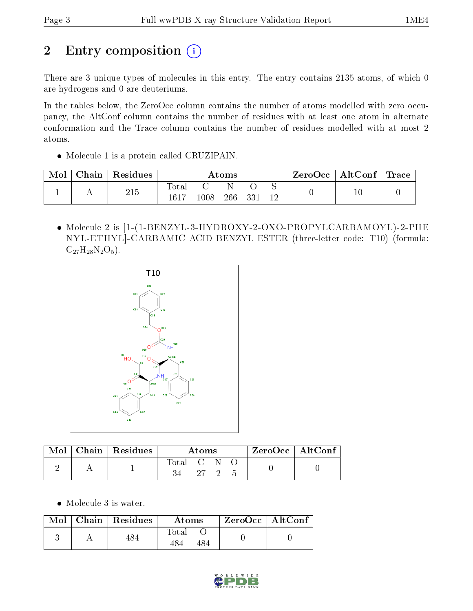# 2 Entry composition (i)

There are 3 unique types of molecules in this entry. The entry contains 2135 atoms, of which 0 are hydrogens and 0 are deuteriums.

In the tables below, the ZeroOcc column contains the number of atoms modelled with zero occupancy, the AltConf column contains the number of residues with at least one atom in alternate conformation and the Trace column contains the number of residues modelled with at most 2 atoms.

• Molecule 1 is a protein called CRUZIPAIN.

| Mol | Chain | Residues | $\rm{Atoms}$            |      |     |       | $\mid$ ZeroOcc $\mid$ AltConf $\mid$ Trace |  |  |
|-----|-------|----------|-------------------------|------|-----|-------|--------------------------------------------|--|--|
|     |       | 215      | $_{\rm{Total}}$<br>1617 | 1008 | 266 | - 331 | 19                                         |  |  |

 Molecule 2 is [1-(1-BENZYL-3-HYDROXY-2-OXO-PROPYLCARBAMOYL)-2-PHE NYL-ETHYL]-CARBAMIC ACID BENZYL ESTER (three-letter code: T10) (formula:  $C_{27}H_{28}N_2O_5$ .



| Mol | Chain   Residues | Atoms     |  |          | ZeroOcc   AltConf |  |
|-----|------------------|-----------|--|----------|-------------------|--|
|     |                  | Total C N |  | $\Omega$ |                   |  |
|     |                  |           |  |          |                   |  |

• Molecule 3 is water.

|  | $Mol$   Chain   Residues | Atoms | $ZeroOcc$   AltConf |  |
|--|--------------------------|-------|---------------------|--|
|  | 484                      | Total |                     |  |

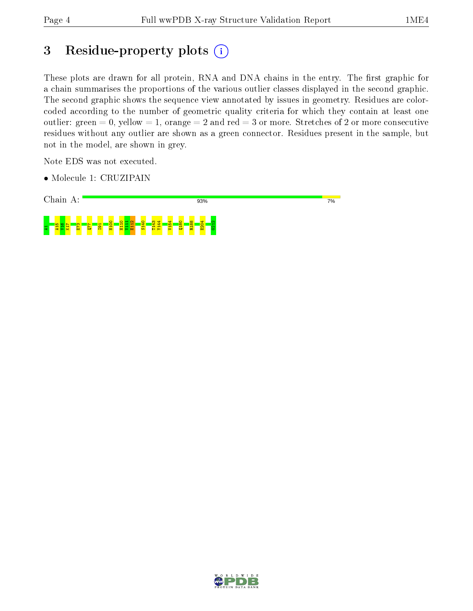## 3 Residue-property plots (i)

These plots are drawn for all protein, RNA and DNA chains in the entry. The first graphic for a chain summarises the proportions of the various outlier classes displayed in the second graphic. The second graphic shows the sequence view annotated by issues in geometry. Residues are colorcoded according to the number of geometric quality criteria for which they contain at least one outlier: green  $= 0$ , yellow  $= 1$ , orange  $= 2$  and red  $= 3$  or more. Stretches of 2 or more consecutive residues without any outlier are shown as a green connector. Residues present in the sample, but not in the model, are shown in grey.

Note EDS was not executed.

• Molecule 1: CRUZIPAIN



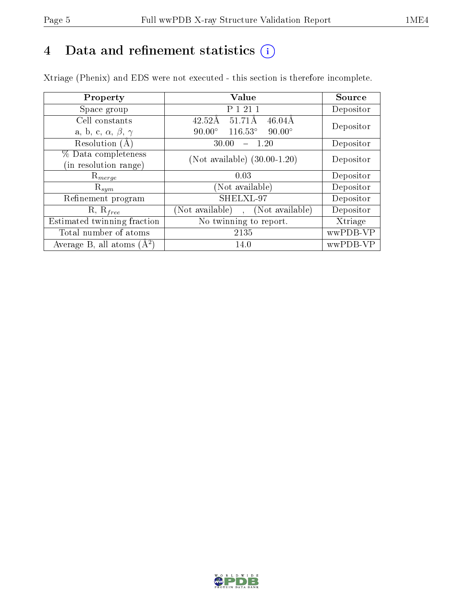## 4 Data and refinement statistics  $(i)$

Xtriage (Phenix) and EDS were not executed - this section is therefore incomplete.

| Property                               | Value                                            | Source    |  |
|----------------------------------------|--------------------------------------------------|-----------|--|
| Space group                            | P 1 21 1                                         | Depositor |  |
| Cell constants                         | 51.71Å<br>$46.04\text{\AA}$<br>$42.52\text{\AA}$ | Depositor |  |
| a, b, c, $\alpha$ , $\beta$ , $\gamma$ | $116.53^\circ$<br>$90.00^\circ$<br>$90.00^\circ$ |           |  |
| Resolution $(A)$                       | $-1.20$<br>30.00                                 | Depositor |  |
| % Data completeness                    | (Not available) $(30.00-1.20)$                   | Depositor |  |
| (in resolution range)                  |                                                  |           |  |
| $\mathrm{R}_{merge}$                   | 0.03                                             | Depositor |  |
| $\mathrm{R}_{sym}$                     | (Not available)                                  | Depositor |  |
| Refinement program                     | SHELXL-97                                        | Depositor |  |
| $R, R_{free}$                          | (Not available), (Not available)                 | Depositor |  |
| Estimated twinning fraction            | No twinning to report.                           | Xtriage   |  |
| Total number of atoms                  | 2135                                             | wwPDB-VP  |  |
| Average B, all atoms $(A^2)$           | 14.0                                             | wwPDB-VP  |  |

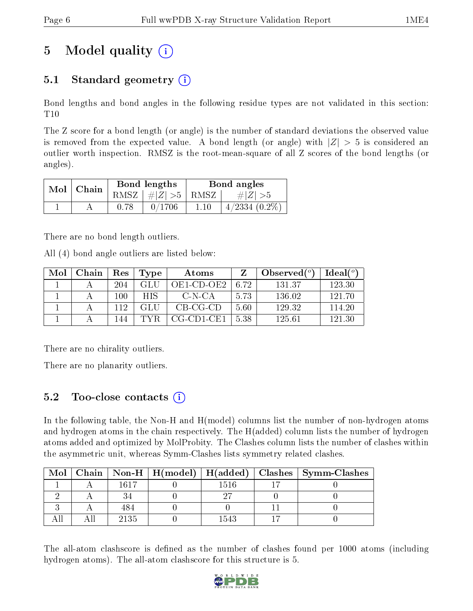# 5 Model quality  $(i)$

### 5.1 Standard geometry  $(i)$

Bond lengths and bond angles in the following residue types are not validated in this section: T10

The Z score for a bond length (or angle) is the number of standard deviations the observed value is removed from the expected value. A bond length (or angle) with  $|Z| > 5$  is considered an outlier worth inspection. RMSZ is the root-mean-square of all Z scores of the bond lengths (or angles).

| Mol | Chain | Bond lengths                   | Bond angles |                    |  |
|-----|-------|--------------------------------|-------------|--------------------|--|
|     |       | RMSZ $\mid \#Z \mid >5$   RMSZ |             | $\# Z  > 5$        |  |
|     |       | 0/1706                         | 1.10        | $4/2334$ $(0.2\%)$ |  |

There are no bond length outliers.

All (4) bond angle outliers are listed below:

| Mol | Chain | Res | Type | Atoms        |      | Observed $(°)$ | $Ideal(^o)$ |
|-----|-------|-----|------|--------------|------|----------------|-------------|
|     |       | 204 | GLU  | OE1-CD-OE2   | 6.72 | 131.37         | 123.30      |
|     |       | 100 | HIS. | C-N-CA       | 5.73 | 136.02         | 121.70      |
|     |       | 119 |      | $CB-CG-CD$   | 5.60 | 129.32         | 114.20      |
|     |       | 144 | TYR  | $CG-CD1-CE1$ | 5.38 | 125.61         | 121.30      |

There are no chirality outliers.

There are no planarity outliers.

### 5.2 Too-close contacts  $\overline{a}$

In the following table, the Non-H and H(model) columns list the number of non-hydrogen atoms and hydrogen atoms in the chain respectively. The H(added) column lists the number of hydrogen atoms added and optimized by MolProbity. The Clashes column lists the number of clashes within the asymmetric unit, whereas Symm-Clashes lists symmetry related clashes.

| Mol |      |      | Chain   Non-H   $H(model)$   $H(added)$   Clashes   Symm-Clashes |
|-----|------|------|------------------------------------------------------------------|
|     | 1617 | 1516 |                                                                  |
|     |      |      |                                                                  |
|     |      |      |                                                                  |
|     | 2135 | 1543 |                                                                  |

The all-atom clashscore is defined as the number of clashes found per 1000 atoms (including hydrogen atoms). The all-atom clashscore for this structure is 5.

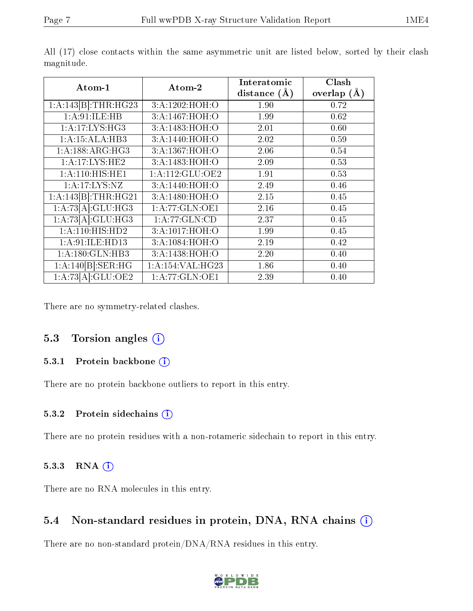| Atom-1              | Atom-2             | Interatomic    | Clash           |
|---------------------|--------------------|----------------|-----------------|
|                     |                    | distance $(A)$ | overlap $(\AA)$ |
| 1:A:143[B]:THR:HG23 | 3:A:1202:HOH:O     | 1.90           | 0.72            |
| 1:A:91:ILE:HB       | 3:A:1467:HOH:O     | 1.99           | 0.62            |
| 1:A:17:LYS:HG3      | 3: A:1483:HOH:O    | 2.01           | 0.60            |
| 1:A:15:ALA:HB3      | 3: A:1440:HOH:O    | 2.02           | 0.59            |
| 1:A:188:ARG:HG3     | 3:A:1367:HOH:O     | 2.06           | 0.54            |
| 1:A:17:LYS:HE2      | 3:A:1483:HOH:O     | 2.09           | 0.53            |
| 1: A:110:HIS:HE1    | 1: A:112: GLU:OE2  | 1.91           | 0.53            |
| 1: A: 17: LYS: NZ   | 3: A:1440:HOH:O    | 2.49           | 0.46            |
| 1:A:143[B]:THR:HG21 | 3: A:1480:HOH:O    | 2.15           | 0.45            |
| 1:A:73[A]:GLU:HG3   | 1:A:77:GLN:OE1     | 2.16           | 0.45            |
| 1:A:73[A]:GLU:HG3   | 1: A:77: GLN:CD    | 2.37           | 0.45            |
| 1:A:110:HIS:HD2     | 3:A:1017:HOH:O     | 1.99           | 0.45            |
| 1:A:91:ILE:HD13     | 3:A:1084:HOH:O     | 2.19           | 0.42            |
| 1: A: 180: GLN: HB3 | 3: A:1438:HOH:O    | 2.20           | 0.40            |
| 1:A:140[B]:SER:HG   | 1: A:154: VAL:HG23 | 1.86           | 0.40            |
| 1:A:73[A]:GLU:OE2   | 1: A:77: GLN:OE1   | 2.39           | 0.40            |

All (17) close contacts within the same asymmetric unit are listed below, sorted by their clash magnitude.

There are no symmetry-related clashes.

#### 5.3 Torsion angles (i)

#### 5.3.1 Protein backbone (i)

There are no protein backbone outliers to report in this entry.

#### 5.3.2 Protein sidechains (i)

There are no protein residues with a non-rotameric sidechain to report in this entry.

#### 5.3.3 RNA (1)

There are no RNA molecules in this entry.

#### 5.4 Non-standard residues in protein, DNA, RNA chains (i)

There are no non-standard protein/DNA/RNA residues in this entry.

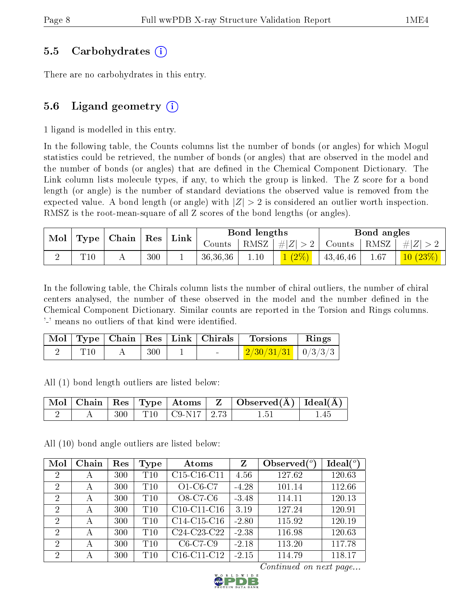#### 5.5 Carbohydrates (i)

There are no carbohydrates in this entry.

### 5.6 Ligand geometry  $(i)$

1 ligand is modelled in this entry.

In the following table, the Counts columns list the number of bonds (or angles) for which Mogul statistics could be retrieved, the number of bonds (or angles) that are observed in the model and the number of bonds (or angles) that are defined in the Chemical Component Dictionary. The Link column lists molecule types, if any, to which the group is linked. The Z score for a bond length (or angle) is the number of standard deviations the observed value is removed from the expected value. A bond length (or angle) with  $|Z| > 2$  is considered an outlier worth inspection. RMSZ is the root-mean-square of all Z scores of the bond lengths (or angles).

| Mol | Type | Chain | Res | Link | Bond lengths |      |         |          | Bond angles |           |  |
|-----|------|-------|-----|------|--------------|------|---------|----------|-------------|-----------|--|
|     |      |       |     |      | Counts       | RMSZ | $\# Z $ | Counts   | ' RMSZ      | $\# Z $   |  |
|     | T10  |       | 300 |      | 36,36,36     | 1.10 | $(2\%)$ | 43,46,46 | 1.67        | (10 (23%) |  |

In the following table, the Chirals column lists the number of chiral outliers, the number of chiral centers analysed, the number of these observed in the model and the number defined in the Chemical Component Dictionary. Similar counts are reported in the Torsion and Rings columns. '-' means no outliers of that kind were identified.

|  |     | Mol   Type   Chain   Res   Link   Chirals | Torsions                                | $\mathbf{Rings}$ |
|--|-----|-------------------------------------------|-----------------------------------------|------------------|
|  | 300 |                                           | $\mid$ 2/30/31/31 $\mid$ 0/3/3/3 $\mid$ |                  |

All (1) bond length outliers are listed below:

|  |  |                             | Mol   Chain   Res   Type   Atoms   Z   Observed(Å)   Ideal(Å) |  |
|--|--|-----------------------------|---------------------------------------------------------------|--|
|  |  | $300$   T10   C9-N17   2.73 | L5.                                                           |  |

All (10) bond angle outliers are listed below:

| Mol            | Chain | Res | Type | Atoms                                             | $\mathbf{Z}$ | Observed $(°)$ | Ideal(°) |
|----------------|-------|-----|------|---------------------------------------------------|--------------|----------------|----------|
| 2              | А     | 300 | T10  | C15-C16-C11                                       | 4.56         | 127.62         | 120.63   |
| 2              | А     | 300 | T10  | $O1-C6-C7$                                        | $-4.28$      | 101.14         | 112.66   |
| $\overline{2}$ | А     | 300 | T10  | $O8-C7-C6$                                        | $-3.48$      | 114.11         | 120.13   |
| $\overline{2}$ | А     | 300 | T10  | $C10-C11-C16$                                     | 3.19         | 127.24         | 120.91   |
| $\overline{2}$ | А     | 300 | T10  | $C14-C15-C16$                                     | $-2.80$      | 115.92         | 120.19   |
| 2              | А     | 300 | T10  | C <sub>24</sub> -C <sub>23</sub> -C <sub>22</sub> | $-2.38$      | 116.98         | 120.63   |
| 2              | А     | 300 | T10  | $C6-C7-C9$                                        | $-2.18$      | 113.20         | 117.78   |
| 2              | А     | 300 | T10  | C <sub>16</sub> -C <sub>11</sub> -C <sub>12</sub> | $-2.15$      | 114.79         | 118.17   |

Continued on next page...

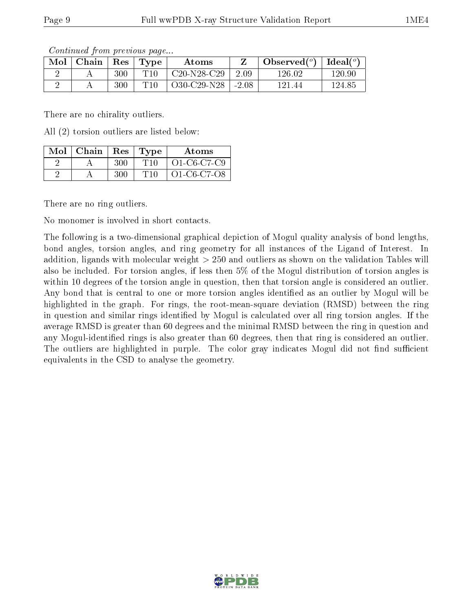)

| Contributu Home providuo pugu                                                  |     |                 |                             |       |                                            |        |  |  |  |
|--------------------------------------------------------------------------------|-----|-----------------|-----------------------------|-------|--------------------------------------------|--------|--|--|--|
| $\parallel$ Mol $\parallel$ Chain $\parallel$ Res $\parallel$ Type $\parallel$ |     |                 | Atoms                       |       | Observed( $^{\circ}$ )   Ideal( $^{\circ}$ |        |  |  |  |
|                                                                                | 300 | T <sub>10</sub> | † C20-N28-C29 ∣             | -2.09 | 126.02                                     | 120.90 |  |  |  |
|                                                                                | 300 | T10             | $\perp$ O30-C29-N28   -2.08 |       | 121.44                                     | 124.85 |  |  |  |

Continued from previous page

There are no chirality outliers.

All (2) torsion outliers are listed below:

| $Mol$   Chain   Res   Type |     |     | Atoms       |
|----------------------------|-----|-----|-------------|
|                            | 300 | T10 | O1-C6-C7-C9 |
|                            | 300 | T10 | O1-C6-C7-O8 |

There are no ring outliers.

No monomer is involved in short contacts.

The following is a two-dimensional graphical depiction of Mogul quality analysis of bond lengths, bond angles, torsion angles, and ring geometry for all instances of the Ligand of Interest. In addition, ligands with molecular weight > 250 and outliers as shown on the validation Tables will also be included. For torsion angles, if less then 5% of the Mogul distribution of torsion angles is within 10 degrees of the torsion angle in question, then that torsion angle is considered an outlier. Any bond that is central to one or more torsion angles identified as an outlier by Mogul will be highlighted in the graph. For rings, the root-mean-square deviation (RMSD) between the ring in question and similar rings identified by Mogul is calculated over all ring torsion angles. If the average RMSD is greater than 60 degrees and the minimal RMSD between the ring in question and any Mogul-identified rings is also greater than 60 degrees, then that ring is considered an outlier. The outliers are highlighted in purple. The color gray indicates Mogul did not find sufficient equivalents in the CSD to analyse the geometry.

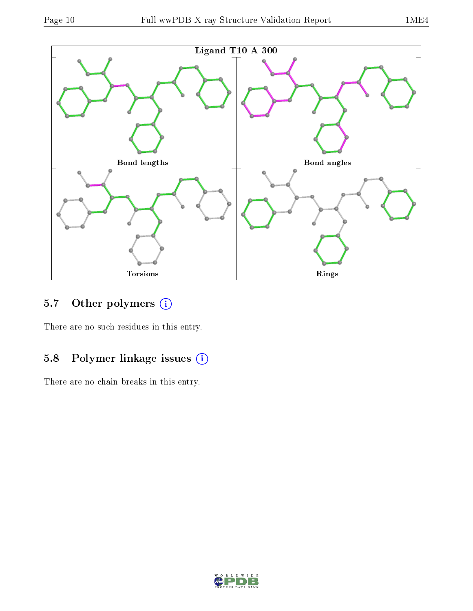

## 5.7 [O](https://www.wwpdb.org/validation/2017/XrayValidationReportHelp#nonstandard_residues_and_ligands)ther polymers (i)

There are no such residues in this entry.

## 5.8 Polymer linkage issues (i)

There are no chain breaks in this entry.